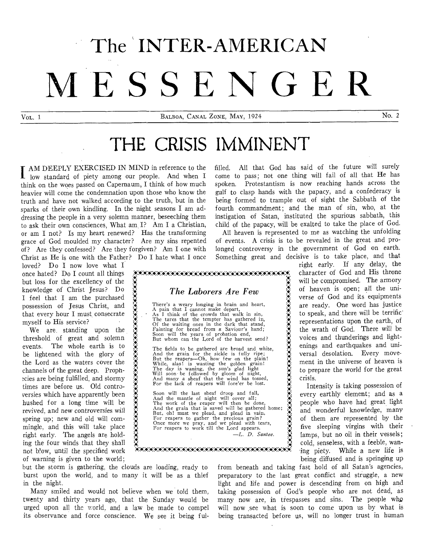# **The INTER-AMERICAN MESSENGER**

VOL. 1 BALBOA, CANAL ZONE, MAY, 1924 No. 2

# **THE CRISIS IMMINENT**

AM DEEPLY EXERCISED IN MIND in reference to the I low standard of piety among our people. And when I think on the woes passed on Capernaum, I think of how much heavier will come the condemnation upon those who know the truth and have not walked according to the truth, but in the sparks of their own kindling. In the night seasons I am addressing the people in a very solemn manner, beseeching them to ask their own consciences, What am I? Am I a Christian, or am I not? Is my heart renewed? Has the transforming grace of God moulded my character? Are my sins repented of? Are they confessed? Are they forgiven? Am I one with Christ as He is one with the Father? Do I hate what I once

loved? Do I now love what I once hated? Do I count all things but loss for the excellency of the knowledge of Christ Jesus? Do I feel that I am the purchased possession of Jesus Christ, and that every hour I must consecrate myself to His service?

We are standing upon the threshold of great and solemn The whole earth is to be lightened with the glory of the Lord as the waters cover the channels of the great deep. Prophcies are being fulfilled, and stormy times are before us. Old controversies which have apparently been hushed for a long time will be revived, and new controversies will spring up; new and old will commingle, and this will take place right early. The angels are holding the four winds that they shall not blow, until the specified work of warning is given to the world;

. ,'A;AAAAWA::AWA:AAAAWA:AA :AAA:AA'A'AAA:AAAAAWA: *The Laborers Are Few*  There's a weary longing in brain and heart,<br>A pain that I cannot make depart,<br>As I think of the crowds that walk in sin,<br>The tares that the tempter has gathered in,<br>Of the waiting ones in the dark that stand,<br>Fainting for The fields to be gathered **are broad and** white, And the **grain for the sickle is fully** ripe; But the reapers—Oh, how **few on** the plain! While, alas! is wasting the golden grain!<br>The day is waning, the sun's glad light<br>Will soon be followed by gloom of night, And many a sheaf that the **wind** has **tossed,**  For the lack of reapers **will fore'er be lost.**  Soon will the last sheaf droop and fall, And the mantle of night will cover all;<br>The work of the reaper will then be done,<br>And the grain that is saved will be gathered home;<br>But, oh! must we plead, and plead in vain, For reapers to gather the precious **grain? Once more we pray,** and we plead **with tears, For reapers to work** till the Lord appears. —L. D. Santee. **WA:A:AA;W:AAWAYAWAXAAAAAAA:AAAAAAAWAXWA:** 

filled. All that God has said of the future will surely come to pass; not one thing will fail of all that He has spoken. Protestantism is now reaching hands across the gulf to clasp hands with the papacy, and a confederacy is being formed to trample out of sight the Sabbath of the fourth commandment; and the man of sin, who, at the instigation of Satan, instituted the spurious sabbath, this child of the papacy, will be exalted to take the place of God.

All heaven is represented to me as watching the unfolding of events. A crisis is to be revealed in the great and prolonged controversy in the government of God on earth. Something great and decisive is to take place, and that

> right early. If any delay, the character of God and His throne will be compromised. The armory of heaven is open; all the universe of God and its equipments are ready. One word has justice to speak, and there will be terrific' representations upon the earth, of the wrath of God. There will be voices and thunderings and lightenings and earthquakes and universal desolation. Every movement in the universe of heaven is to prepare the world for the great crisis.

> Intensity is taking possession of every earthly element; and as a people who have had great light and wonderful knowledge, many of them are represented by the five sleeping virgins with their lamps, but no oil in their vessels; cold, senseless, with a feeble, waning piety. While a new life is being diffused and is springing up

but the storm is gathering, the clouds are loading, ready to burst upon the world, and to many it will be as a thief in the night.

it.

**A:** 

**A** 

Many smiled and would not believe when we told them, twenty and thirty years ago, that the Sunday would be urged upon all the world, and a law be made to compel its observance and force conscience. We see it being fulfrom beneath and taking fast hold of all Satan's agencies, preparatory to the last great conflict and struggle, a new light and life and power is descending from on high and taking possession of God's people who are not dead, as many now are, in trespasses and sins. The people who will now ,see what is soon to come upon us by what is being transacted before us, will no longer trust in human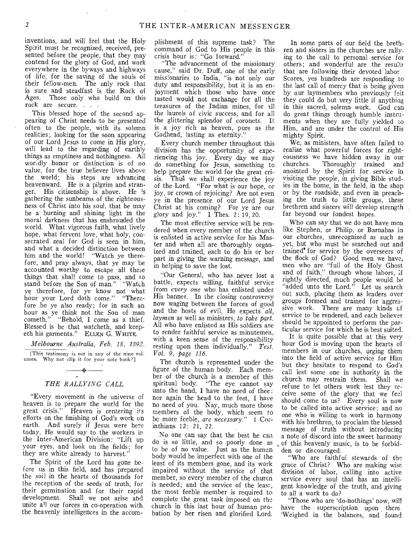inventions, and will feel that the Holy Spirit must be recognized, received, presented before the people, that they may contend for the glory of God, and work everywhere in the byways and highways of life, for the saving of the souls of their fellow-men. The only rock that is sure and steadfast is the Rock of Ages. Those only who build on this rock are secure. . . .

This blessed hope of the second appearing of Christ needs to be presented often to the people, with its solemn realities; looking for the soon appearing of our Lord Jesus to come in His glory, will lead to the regarding of earthly things as emptiness and nothingness. All worldly honor or distinction is of no value, for the true believer lives above the world; his steps are advancing heavenward. He is a pilgrim and stranger. His citizenship is above. He is gathering the sunbeams of the righteousness of Christ into his soul, that he may be a burning and shining light in the moral darkness that has enshrouded the world. What vigorous faith, what lively hope, what fervent love, what holy, consecrated zeal for God is seen in him, and what a decided distinction between him and the world! "Watch ye therefore, and pray always, that ye may be accounted worthy to escape all these things that shall come to pass, and lo stand before the Son of man." "Watch ye therefore, for ye know not what hour your Lord doth come." "Therefore be ye also ready; for in such an hour as ye think not the Son of man cometh." "Behold, I come as a thief. Blessed is he that watcheth, and keepeth his garments." ELLEN G. WHITE.

*Melbourne Australia, Feb. 18, 1892.*  [This testimony is not in any of the nine volumes. Why not clip it for your note book?]

# $\rightarrow$ *THE RALLYING CALL*

"Every movement in the universe of heaven is to prepare the world for the great crisis." Heaven is centering its efforts on the finishing of God's work on earth. And surely if Jesus were here today. He would say to the workers ip the Inter-American Division: "Lift up your eyes, and look on the fields; for they are white already to harvest."

The Spirit of the Lord has gone before us in this field, and has prepared the soil in the hearts of thousands for the reception of the seeds of truth, for their germination and for their rapid development. Shall we not arise ahd unite a'l our forces in co-operation with the heavenly intelligences in the accomplishment of this supreme task? The command of God to His people in this crisis hour is: "Go forward."

"The advancement of the missionary cause," said Dr. Duff, one of the early missionaries to India, "is not only our duty and responsibility, but it is an enjoyment which those who have once tasted would not exchange for all the treasures of the Indian mines, for all the laurels of civic success, and for all the glittering splendor of coronets. It is a joy rich as heaven, pure as the Godhead, lasting as eternity."

Every church member throughout this division has the opportunity of experiencing this joy. Every day we may do something for Jesus, something to help prepare the world for the great crisis. Thus we shall experience the joy of the Lord. "For what is our hope, or joy, or crown of rejoicing? Are not even ye in the presence of our Lord Jesus Christ at his coming? For ye are our glory and joy." I Thes. 2:19, 20.

The most effective service will be rendered when every member of the church is enlisted in active service for his Master and when all are thoroughly organized and trained, each to do his or her part in giving the warning message, and in helping to save the lost.

"Our General, who has never lost a battle, expects willing, faithful service from *every one* who has enlisted under His banner. In the closing controversy now waging between the forces of good and the hosts of evil, He expects *all*, *laymen* as well as ministers, *to take part.*  All who have enlisted as His soldiers are to render faithful service as minutemen, with a keen sense of the responsibility resting upon them individually." *Test. Vol. 9, page 116.* 

The church is represented under the figure of the human body. Each member of the church is a member of this spiritual body. "The eye cannot say unto the hand, I have no need of thee: nor again the head to the feet, I have no need of you. Nay, much more those members of the body, which seem to be more feeble, *are necessary." 1* Corinthians 12: 21, 22.

No one can say that the best he can do is so little, and so poorly done as to be of no value. Just as the human body would be imperfect with one of the least of its members gone, and its work impaired without the service of that member, so every member of the churcn is needed; and the service of the least, the most feeble member is required to complete the great task imposed on the church in this last hour of human probation by her risen and glorified Lord.

In some parts of our field the brethren and sisters in the churches are rallying to the call to personal service for others; and wonderful are the results that are following their devoted labor Scores, yes hundreds are responding to the last call of mercy that is being given by our laymembers who previously felt they could do but very little if anything in this sacred, solemn work. God can do great things through humble instruments when they are fully yielded to Him, and are under the control of His mighty Spirit.

We, as ministers, have often failed to realize what powerful forces for righteousness we have hidden away in our churches. Thoroughly trained and Thoroughly trained and anointed by the Spirit for service in visiting the people, in giving Bible studies in the home, in the field, in the shop or by the roadside, and even in preaching the truth to little groups, these brethren and sisters will develop strength far beyond our fondest hopes.

Who can say that we do not have men like Stephen, or Philip, or Barnabas in our churches, unrecognized as such as yet, but who must be searched out and trained' for service by the overseers of the flock of God? Good men we have, men who are "full of the Holy Ghost and of faith," through whose labors, if rightly directed, much people would be "added unto the Lord." Let us search out such, placing them as leaders over groups formed and trained for aggressive work. There are many kinds cf service to be rendered, and each believer should be appointed to perform the particular service for which he is best suited.

It is quite possible that at this very hour God is moving upon the hearts of members in our churches, urging them into the field of active service for Him but they hesitate to respond to God's call lest some one in authority in the church may restrain them. Shall we refuse to let others work lest they receive some of the glory that we feel should come to us? Every soul is now to be called into active service; and no one who is willing to work in harmony with his brethren, to proclaim the blessed message of truth without introducing a note of discord into the sweet harmony of this heavenly music, is to be forbidden or discouraged.

"Who are faithful stewards of the grace of Christ? Who are making wise division of labor, calling into active service every soul that has an intelligent knowledge of the truth, and giving to all a work to do?

"Those who are 'do-nothings' now, will have the superscription upon them 'Weighed in the balances, and found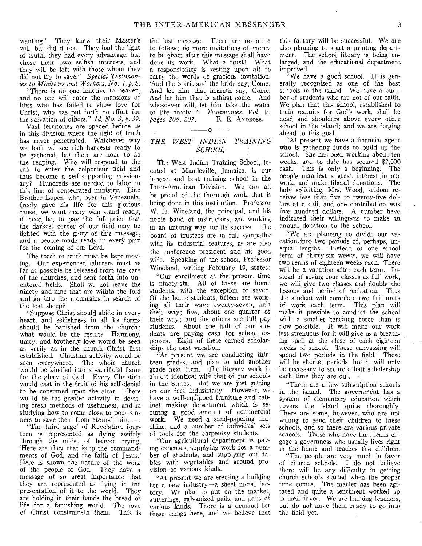wanting.' They knew their Master's will, but did it not. They had the light of truth, they had every advantage, but chose their own selfish interests, and they will be left with those whom they did not try to save." *Special Testimonies to Ministers and Workers, No. 4, p. 5.* 

"There is no one inactive in heaven, and no one will enter the mansions of bliss who has failed to show love for Christ, who has put forth no effort for the salvation of others."  $Id. No. 3, p. 39$ .

Vast territories are opened before us in this division where the light of truth has never penetrated. Whichever way we look we see rich harvests ready to be gathered, but there are none to do the reaping. Who will respond to the call to enter the colporteur field and thus become a self-supporting missionary? Hundreds are needed to labor in this line of consecrated ministry. Like Brother Lopez, who, over in Venezuela, freely gave his life for this glorious cause, we want many who stand ready, if need be, to pay the full price that the darkest corner of our field may be lighted with the glory of this message, and a people made ready in every part for the coming of our Lord.

The torch of truth must be kept moving. Our experienced laborers must as far as possible be released from the care of the churches, and sent forth into unentered fields. Shall we not leave the ninety and nine that are within the fold and go into the mountains in search of the lost sheep?

"Suppose Christ should abide in every heart, and selfishness in all its forms should be banished from the church: what would be the result? Harmony, unity, and brotherly love would be seen as verily as in the church Christ first established. Christian activity would be seen everywhere. The whole church would be kindled into a sacrificial flame for the glory of God. Every Christian would cast in the fruit of his self-denial to be consumed upon the altar. There would be far greater activity in devising fresh methods of usefulness, and in studying how to come close to poor sinners to save them from eternal ruin....

"The third angel of Revelation fourteen is represented as flying swiftly through the midst of heaven crying, 'Here are they that keep the commandments of God, and the faith of Jesus.' Here is shown the nature of the work of the people of God. They have a message of so great importance that they are represented as flying in the presentation of it to the world. They are holding in their hands the bread of life for a famishing world. The love of Christ constraineth them. This is the last message. There are no more to follow; no more invitations of mercy to be given after this message shall have done its work. What a trust! What a responsibility is resting upon all to carry the words of gracious invitation. 'And the Spirit and the bride say, Come. And let him that heareth say, Come. And let him that is athirst come. And whosoever will, let him take the water of life freely.<sup>"</sup>"  $Testimonies$ , Vol. V,  $baees$  206, 207. E. E. ANDROSS. *pages 206, 207.* 

### *THE WEST' INDIAN TRAINING SCHOOL*

The West Indian Training School, located at Mandeville, Jamaica, is our largest and best training school in the Inter-American Division. We can all be proud of the thorough work that is being done in this institution. Professor W. H. Wineland, the principal, and his noble band of instructors, are working in an untiring way for its success. The board of trustees are in full sympathy with its industrial features, as are also the conference president and his good wife. Speaking of the school, Professor Wineland, writing February 19, states:

"Our enrollment at the present time is ninety-six. All of these are home students, with the exception of seven. Of the home students, fifteen are working all their way; twenty-seven, half their way; five, about one quarter of their way; and the others are full pay students. About one half of our students are paying cash for school expenses. Eight of these earned scholarships the past vacation.

"At present we are conducting thirteen grades, and plan to add another grade next term. The literary work is almost identical with that of our schools in the States. But we are just getting on our feet industrially. However, we have a well-equipped furniture and cabinet making department which is securing a good amount of commercial work. We need a sand-papering machine, and a number of individual sets of tools for the carpentry students.

"Our agricultural department is paying expenses, supplying work for a number of students, and supplying our tables with vegetables and ground provision of various kinds.

"At present we are erecting a building for a new industry—a sheet metal factory. We plan to put on the market, gutterings, galvanized pails, and pans of various kinds. There is a demand for these things here, and we believe that

this factory will be successful. We are also planning to start a printing department. The school library is being enlarged, and the educational department improved.

"We have a good school. It is generally recognized as one of the best schools in the island. We have a number of students who are not of our faith. We plan that this school, established to train recruits for God's work, shall be head and shoulders above every other school in the island; and we are forging ahead to this goal.

"At present we have a financial agent who is gathering funds to build up the school. She has been working about ten weeks, and to date has secured \$2,000 cash. This is only a beginning. The people manifest a great interest in our work, and make liberal donations. The lady soliciting, Mrs. Wood, seldom receives less than five to twenty-five dollars at a call, and one contribution was five hundred dollars. A number have indicated their willingness to make an annual donation to the school.

"We are planning to divide our vacation into two periods of, perhaps, unequal lengths. Instead of one school term of thirty-six weeks, we will have two terms of eighteen weeks each. There will be a vacation after each term. Instead of giving four classes as full work, we will give two classes and double the lessons and period of recitation. Thus the student will complete two full units of work each term. This plan will make. it possible to conduct the school with a smaller teaching force than is now possible. It will make our wo:k less strenuous for it will give us a breathing spell at the close of each eighteen weeks of school. Those canvassing will spend two periods in the field. These will be shorter periods, but it will only be necessary to secure a half scholarship each time they are out.

"There are a few subscription schools in the island. The government has a system of elementary education which covers the island quite thoroughly. There are some, however, who are not willing to send their children to these schools, and so there are various private schools. Those who have the means engage a governness who usually lives right in the home and teaches the children.

"The people are very much in favor of church schools. I do not believe there will be any difficulty in getting church schools started when the proper time comes. The matter has been agitated and quite a sentiment worked up in their favor. We are training teachers, but do not have them ready to go into the field yet.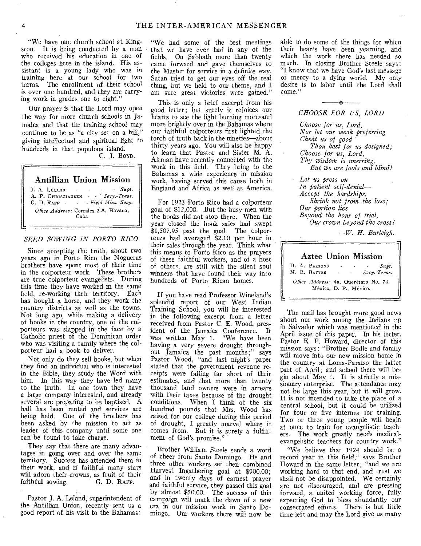"We have one church school at Kingston. It is being conducted by a man who received his education in one of the colleges here in the island. His assistant is a young lady who was in training here at our school for two terms. The enrollment of their school is over one hundred, and they are carrying work in grades one to eight."

Our prayer is that the Lord may open the way for more church schools in Jamaica and that the training school may continue to be as "a city set on a hill," giving intellectual and spiritual light to hundreds in that populous island. C. J. BOYD.

# Antillian Union Mission

J. A. LELAND - - - - *Supt.*  A. P. CHRISTIANSEN - - *Secy.-Treas.*  G. D. RAFF  $\cdot$   $\cdot$  *Field Miss. Secy. Office Address:* Corrales 2-A, Havana, Cuba

#### *SEED SOWING IN FOR TO RICO*

Since accepting the truth, about two years ago in Porto Rico the Nogueras brothers have spent most of their time in the colporteur work. These brothe's are true colporteur evangelists. During this time they have worked in the same field, re-working their territory. Each has bought a horse, and they work the country districts as well as the towns. Not long ago, while making a delivery of books in the country, one of the colporteurs was slapped in the face by a Catholic priest of the Dominican order who was visiting a family where the colporteur had a book to deliver.

Not only do they sell books, but when they find an individual who is interested in the Bible, they study the Word with him. In this way they have led many to the truth. In one town they have a large company interested, and already several are preparing to be baptized. A hall has been rented and services are being held. One of the brothers has been asked by the mission to act as leader of this company until some one can be found to take charge.

They say that there are many advantages in going over and over the same territory. Success has attended them in their work, and if faithful many stars will adorn their crowns, as fruit of their<br>faithful sowing. G. D. RAFF. faithful sowing.

Pastor J. A. Leland, superintendent of the Antillian Union, recently sent us a good report of his visit to the Bahamas:

"We had some of the best meetings that we have ever had in any of the fields. On Sabbath more than twenty came forward and gave themselves to the Master for service in a definite way. Satan tried to get our eyes off the real thing, but we held to our theme, and I am sure great victories were gained."

This is only a brief excerpt from his good letter; but surely it rejoices our hearts to see the light burning more and more brightly over in the Bahamas where our faithful colporteurs first lighted the torch of truth back in the nineties—about thirty years ago. You will also be happy to learn that Pastor and Sister M. A. Altman have recently connected with the work in this field. They bring to the Bahamas a wide experience in mission work, having served this cause both in England and Africa as well as America.

For 1923 Porto Rico had a colporteur goal of \$12,000. But the busy men with the books did not stop there. When the year closed the book sales had swept \$1,507.95 past the goal. The colporteurs had averaged \$2.10 per hour in their sales through the year. Think what this means to Porto Rico as the prayers of these faithful workers, and of a host of others, are still with the silent soul winners that have found their way into hundreds of Porto Rican homes.

If you have read Professor Wineland's splendid report of our West Indian Training School, you will be interested in the following excerpt from a letter received from Pastor C. E. Wood, president of the Jamaica Conference. It was written May 1. "We have been having a very severe drought throughout Jamaica the past months:" says Pastor Wood, "and last night's paper stated that the government revenue receipts were falling far short of their estimates, and that more than twenty thousand land owners were in arrears with their taxes because of the drought conditions. When I think of the six hundred pounds that Mrs. Wood has raised for our college during this period of drought, I greatly marvel where it comes from. But it is surely a fulfillment of God's promise."

Brother William Steele sends a word of cheer from Santo Domingo. He and three other workers set their combined Harvest Ingathering goal at \$900.00; and in twenty days of earnest prayer and faithful service, they passed this goal by almost \$50.00. The success of this campaign will mark the dawn of a new era in our mission work in Santo Domingo. Our workers there will now be

able to do some of the things for whicn their hearts have been yearning, and which the work there has needed so much. In closing Brother Steele says: "I know that we have God's last message of mercy to a dying world. My only desire is to labor until the Lord shall come.'



*Choose for us, Lord, Nor let our weak preferring Cheat us of good Thou host for us designed; Choose for us, Lord, Thy wisdom is unerring, But we are fools and blind!* 

*Let us press on In patient self-denial— Accept the hardships, Shrink not from the loss; Our portion lies Beyond the hour of trial, Our crown beyond the cross!* 

*—W. H. Burleigh.* 

|  | <b>Aztec Union Mission</b>                                      |                          |  |                          |
|--|-----------------------------------------------------------------|--------------------------|--|--------------------------|
|  | D. A. PARSONS<br>M. R. BATTEE                                   | <b>Contract Contract</b> |  | $Subt$ .<br>Secy.-Treas. |
|  | Office Address: 4a. Querétaro No. 74,<br>México, D. F., México. |                          |  |                          |

The mail has brought more good news about our work among the Indians  $rp$ in Salvador which was mentioned in the April issue of this paper. In his letter, Pastor E. P. Howard, director of this mission says: "Brother Bodle and family will move into our new mission home in the country at Loma-Paraiso the latter part of April; and school there will begin about May I. It is strictly a missionary enterprise. The attendance may not be large this year, but it will grow. It is not intended to take the place of a central school, but it could be utilized for four or five internes for training. Two or three young people will begin at once to train for evangelistic teachers. The work greatly needs medicalevangelistic teachers for country work."

"We believe that 1924 should be a record year in this field," says Brother Howard in the same letter; "and we are working hard to that end, and trust we shall not be disappointed. We certainly are not discouraged, and are pressing forward, a united working force, fully expecting God to bless abundantly our consecrated efforts. There is but little time left and may the Lord give us many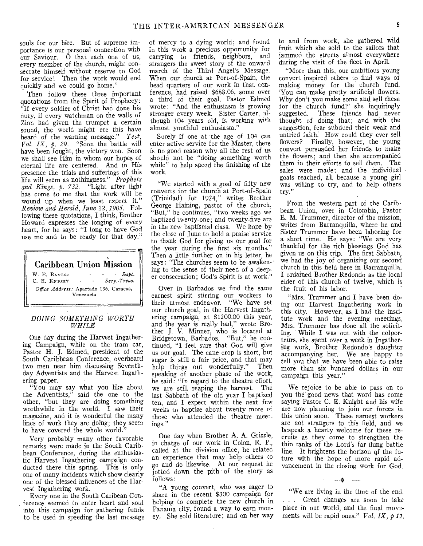souls for our hire. But of supreme importance is our personal connection with our Saviour. O that each one of us, every member of the church, might consecrate himself without reserve to God for service! Then the work would end quickly and we could go home."

Then follow these three important quotations from the Spirit of Prophecy: "If every soldier of Christ had done his duty, if every watchman on the walls of Zion had given the trumpet a certain sound, the world might ere this have heard of the warning message." *Test. Vol. IX, p. 29.* "Soon the battle will have been fought, the victory won. Soon we shall see Him in whom our hopes of eternal life are centered. And in His presence the trials and sufferings of this life will seem as nothingness." *Prophets and Kings, p. 732.* "Light after light has come to me that the work will be wound up when we least expect it." *Review and Herald, June 22, 1905.* Following these quotations, I think, Brother Howard expresses the longing of every heart, for he says: "I long to have God use me and to be ready for that day."

# Caribbean Union Mission W. E. BAXTER - - - Supt. C. E. KNIGHT - *Secy.-Treas. Office Address:* Apartado 136, Caracas, Venezuela

#### *DOING SOMETHING WORTH WHILE*

One day during the Harvest Ingathering Campaign, while on the tram car, Pastor H. J. Edmed, president of the South Caribbean Conference, overheard two men near him discussing Seventh dayAdventists and the Harvest Ingathering paper.

"You may say what you like about the Adventists," said the one to the other, "but they are doing something worthwhile in the world. I saw their magazine, and it is wonderful the many lines of work they are doing; they seem to have covered the whole world.

Very probably many other favorable remarks were made in the South Caribbean Conference, during the enthusiastic Harvest Ingathering campaign conducted there this spring. This is only one of many incidents which show clearly one of the blessed influences of the Harvest Ingathering work.

Every one in the South Caribean Conference seemed to enter heart and soul into this campaign for gathering funds to be used in speeding the last message

of mercy to a dying world; and found in this work a precious opportunity for carrying to friends, neighbors, and strangers the sweet story of the onward march of the Third Angel's Message. When our church at Port-of-Spain, the head quarters of our work in that conference, had raised \$688.06, some over a third of their goal, Pastor Edmed wrote: "And the enthusiasm is growing stronger every week. Sister Carter, although 104 years old, is working with almost youthful enthusiasm.'

Surely if one at the age of 104 can enter active service for the Master, there is no good reason why all the rest of us should not be "doing something worth while" to help speed the finishing of the work.

"We started with a goal of fifty new converts for the church at Port-of-Spain (Trinidad) for 1924," writes Brother George Haining, pastor of the church, "But," he continues, "two weeks ago we baptized twenty-one; and twenty-five are in the new baptismal class. We hope by the close of June to hold a praise service to thank God for giving us our goal for the year during the first six months." Then a little further on in his letter, he says: "The churches seem to be awakening to the sense of their need of a deeper consecration; God's Spirit is at work."

Over in Barbados we find the same earnest spirit stirring our workers to their utmost endeavor. "We have set our church goal, in the Harvest Ingathering campaign, at \$1200.00 this year, and the year is really bad," wrote Brother J. V. Minner, who is located at Bridgetown, Barbados. "But," he continued, "I feel sure that God will give us our goal. The cane crop is short, but sugar is still a fair price, and that may help things out wonderfully." Then speaking of another phase of the work, he said: "In regard to the theatre effort, we are still reaping the harvest. The last Sabbath of the old year I baptized ten, and I expect within the next few weeks to baptize about twenty more of those who attended the theatre meetings."

One day when Brother A, A. Grizzle, in charge of our work in Colon, R. P., called at the division office, he related an experience that may help others to go and do likewise. At our request he jotted down the pith of the story as follows:

"A young convert, who was eager to share in the recent \$300 campaign for helping to complete the new church in Panama city, found a way to earn money. She sold literature; and on her way

to and from work, she gathered wild fruit which she sold to the sailors that jammed the streets almost everywhere during the visit of the fleet in April.

"More than this, our ambitious young convert inspired others to find ways of making money for the church fund. 'You can make pretty artificial flowers. Why don't you make some and sell these for the church fund?' she inquiringly suggested. These friends had never thought of doing that; and with the suggestion, fear subdued their weak and untried faith. How could they ever sell flowers? Finally, however, the young convert persuaded her friends to make the flowers; and then she accompanied them in their efforts to sell them. The sales were made; and the individual goals reached, all because a young girl was willing to try, and to help others try."

From the western part of the Caribbean Union, over in Colombia, Pastor E. M. Trummer, director of the mission, writes from Barranquilla, where he and Sister Trummer have been laboring for a short time. He says: "We are very thankful for the rich blessings God has given us on this trip. The first Sabbath, we had the joy of organizing our second church in this field here in Barranquilla. I ordained Brother Redondo as the local elder of this church of twelve, which is the fruit of his labor.

"Mrs. Trummer and I have been doing our Harvest Ingathering work in this city. However, as I had the institute work and the evening meetings, Mrs. Trummer has done all the soliciting. " While I was out with the colporteurs, she spent over a week in Ingathering work, Brother Redondo's daughter accompanying her. We are happy to tell you that we have been able to raise more than six hundred dollars in our campaign this year."

We rejoice to be able to pass on to you the good news that word has come saying Pastor C. E. Knight and his wife are now planning to join our forces in this union soon. These earnest workers are not strangers to this field, and we bespeak a hearty welcome for these recruits as they come to strengthen the thin ranks of the Lord's far flung battle line. It brightens the horizon qf the future with the hope of more rapid advancement in the closing work for God.

"We are living in the time of the end. . . . Great changes are soon to take place in our world, and the final movements will be rapid ones." *Vol. IX, p.11.* 

 $\rightarrow$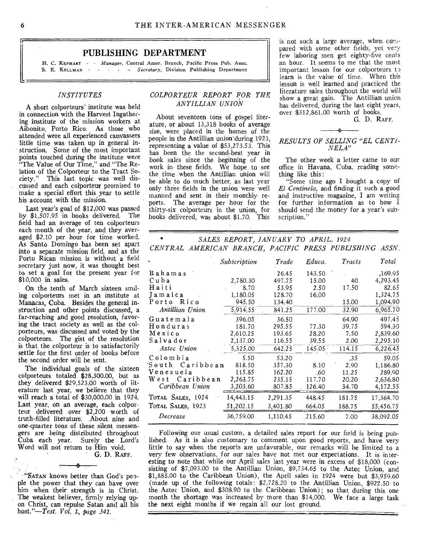#### PUBLISHING DEPARTMENT

H. C. KEPHART - *Manager*, Central Amer. Branch, Pacific Press Pub. Assn. S. E. KELLMAN **S. Secretary**, Division Publishing Department

#### *INSTITUTES*

A short colporteurs' institute was held in connection with the Harvest Ingathering institute of the mission workers at Aibonito, Porto Rico. As those who attended were all experienced canvassers little time was taken up in general instruction. Some of the most important points touched during the institute were "The Value of Our Time," and "The Relation of the Colporteur to the Tract Society." This last topic was well discussed and each colporteur promised to make a special effort this year to settle his account with the mission.

Last year's goal of \$12,000 was passed by \$1,507.95 in books delivered. The field had an average of ten colporteurs each month of the year, and they averaged \$2.10 per hour for time worked. As Santo Domingo has been set apart into a separate mission field, and as the Porto Rican mission is without a field secretary just now, it was thought best to set a goal for the present year for \$10,000 in sales.

On the tenth of March sixteen smiling colporteurs met in an institute at Manacas, Cuba. Besides the general instruction and other points discussed, a far-reaching and good resolution, favoring the tract society as well as the colporteurs, was discussed and voted by the colporteurs. The gist of the resolution is that the colporteur is to satisfactorily settle for the first order of books before the second order will be sent.

The individual goals of the sixteen colporteurs totaled \$28,300.00, but as they delivered \$29,523.00 worth of literature last year, we believe that they will reach a total of \$30,000.00 in 1924. Last year, on an average, each colporteur delivered over \$2,200 worth of truth-filled literature. About nine and one-quarter tons of these silent messengers are being distributed throughout Cuba each year. Surely the Lord's Word will not return to Him void.

G. D. RAFF.

"SATAN knows better than God's people the power that they can have over him when their strength is in Christ. The weakest believer, firmly relying upon Christ, can repulse Satan and all his host."-Test. *Vol. 1-, page 341.* 

.1'

#### *COLPORTEUR REPORT FOR THE ANTILLIAN UNION*

About seventeen tons of gospel literature, or about 13,318 books of average size, were placed in the homes of the people in the Antillian union during 1923, representing a value of \$53,273.53. This has been the the second-best year in book sales since the beginning of the work in these fields. We hope to see the time when the Antillian union will be able to do much better, as last year only three fields in the union were well manned and sent in their monthly reports. The average per hour for the thirty-six colporteurs in the union, for books delivered, was about \$1.70. This

is not such a large average, when compared with some other fields, yet very few laboring men get eighty-five cents an hour. It seems to me that the most important lesson for our colporteurs to learn is the value of time. When this lesson is well learned and practiced the literature sales throughout the world will show a great gain. The Antillian union has delivered, during the last eight years, over \$312,861.00 Worth of books.

G. D. RAFF.

#### *RESULTS OF SELLING "EL CENTi-NELA"*

The other week a letter came to our office in Havana, Cuba, reading something like this:

"Some time ago I bought a copy of *El Centinela,* and finding it such a good and instructive magazine, I am writing for further information as to how I should send the money for a year's subscription."

*SALES REPORT, JANUARY TO APRIL, 1924 CENTRAL AMERICAN BRANCH, PACIFIC PRESS PUBLISHING ASSN.* 

| ĥ,                | Subscription | Trade    | Educa. | Tracts | Total     |
|-------------------|--------------|----------|--------|--------|-----------|
| Bahamas           |              | 26.45    | 143.50 |        | .169.95   |
| Cuba              | 2,780.30     | 497.75   | 15.00  | 40     | 4,293.45  |
| Haiti             | 8.70         | 53.95    | 2.50   | 17.50  | 82.65     |
| Iamaica           | 1,180.05     | 128.70   | 16.00  |        | 1,324.75  |
| Porto Rico        | 945.50       | 134.40   |        | 15.00  | 1,094.90  |
| Antillian Union   | 5,914.55     | 841.25   | 177.00 | 32.90  | 6,965.70  |
| Guatemala         | 396.05       | 36.50    |        | 64.90  | 497.45    |
| Honduras          | 181.70       | 295.55   | 77.30  | 39.75  | 594.30    |
| Mexico            | 2,610.25     | 193.65   | 28.20  | 7.50   | 2,839.60  |
| Salvador          | 2,137.00     | 116.55   | 39.55  | 2.00   | 2,295.10  |
| Aztec Union       | 5,325.00     | 642.25   | 145.05 | 114.15 | 6,226.45  |
| Colombia          | 5.50         | 53.20    |        | .35    | 59.05     |
| South Caribbean   | 818.50       | 357.30   | 8.10   | 2.90   | 1,186.80  |
| Venezuela         | 115.85       | 162.20   | .60    | 11.25  | 289.90    |
| West Caribbean    | 2,263.75     | 235.15   | 117.70 | 20.20  | 2,636.80  |
| Caribbean Union   | 3,203.60     | 807.85   | 126.40 | 34.70  | 4,172.55  |
| TOTAL SALES, 1924 | 14,443.15    | 2,291.35 | 448.45 | 181.75 | 17,364.70 |
| TOTAL SALES, 1923 | 51,202.15    | 3,401.80 | 664.05 | 188.75 | 55,456.75 |
| Decrease          | 36,759.00    | 1,110.45 | 215.60 | 7.00   | 38,092.05 |

Following our usual custom, a detailed sales report for our field is being published. As it is also customary to comment upon good reports, and have very little to say when the reports are unfavorable, our remarks will be limited to a very few observations, for our sales have not met our expectations. It is interesting to note that while our April sales last year were in excess of \$18,000 (consisting of \$7,093.00 to the Antillian Union, \$9,734.65 to the Aztec Union, and \$1,885.00 to the Caribbean Union), the April sales in 1924 were but \$3,959.60 (made up of the following totals:  $$2,728.20$  to the Antillian Union,  $$922.50$  to the Aztec Union, and \$308.90 to the Caribbean Union); so that during this one month the shortage was increased by more than \$14,000. We face a large task the next eight months if we regain all our lost ground.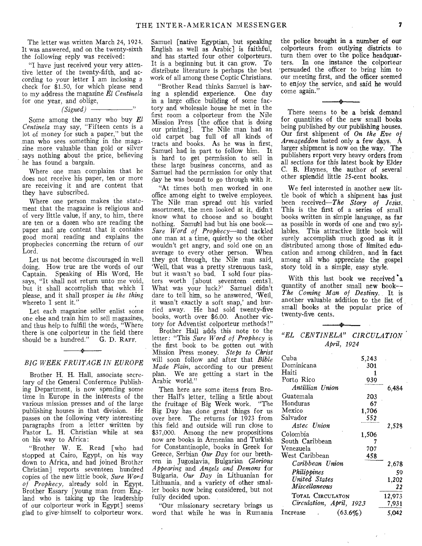The letter was written March 24, 1924. It was answered, and on the twenty-sixth the following reply was received:

"I have just received your very attentive letter of the twenty-fifth, and according to your letter **I** am inclosing *<sup>a</sup>* check for \$1.50, for which please send to my address the magazine *El Centinela*  for one year, and oblige,

*(Signed)* 

Some among the many who buy *El Centinela* may say, "Fifteen cents is a lot of money for such a paper," but the man who sees something in the magazine more valuable than gold or silver says nothing about the price, believing he has found a bargain.

Where one man complains that he does not receive his paper, ten or more are receiving it and are content that they have subscribed.

Where one person makes the statement that the magazine is religious and of very little value, if any, to him, there are ten or a dozen who are reading the paper and are content that it contains good moral reading and explains the prophecies concerning the return of our Lord.

Let us not become discouraged in well doing. How true are the words of our Captain. Speaking of His Word, He says, "It shall not return unto me void, but it shall accomplish that which I please, and it shall prosper *in the thing*  whereto **I** sent it."

Let each magazine seller enlist some one else and train him to sell magazines, and thus help to fulfill the words, "Where there is one colporteur in the field there<br>should be a hundred." G. D. RAFF. should be a hundred."

# s. *BIG WEEK FRUITAGE IN EUROPE*

Brother H. H. Hall, associate secretary of the General Conference Publishing Department, is now spending some time in Europe in the interests of the various mission presses and of the large publishing houses in that division. He passes on the following very interesting paragraphs from a letter Written by Pastor L. H. Christian while at sea on his way to Africa:

"Brother W. E. Read [who had stopped at Cairo, Egypt, on his way down to Africa, and had joined Brother Christian] reports seventeen hundred copies of the new little book, *Sure Word of Prophecy,* already sold in Egypt. Brother Essary [young man from England who is taking up the leadership of our colporteur work in Egypt] seems glad to give himself to colporteur worx.

Samuel [native Egyptian, but speaking English as well as Arabic] is faithful, and has started four other colporteurs. It is a beginning but it can grow. To distribute literature is perhaps the best work of all among these Coptic Christians.

"Brother Read thinks Samuel is having a splendid experience. One day in a large office building of some factory and wholesale house he met in the first room a colporteur from the Nile Mission Press [the office that is doing our printing]. The Nile man had an old carpet bag full of all kinds of tracts and books. As he was in first, Samuel had in part to follow him. It is hard to get permission to sell in these large business concerns, and as Samuel had the permission for only that day he was bound to go through with it.

"At times both men worked in one office among eight to twelve employees. The Nile man spread out his varied assortment, the men looked at it, didn't know what to choose and so bought nothing. Samuel had but his one book---Sure *Word of Prophecy—and* tackled one man at a time, quietly so the other wouldn't get angry, and sold one on an average to every other person. When they got through, the Nile man said, 'Well, that was a pretty strenuous task, but it wasn't so bad. I sold four piasters worth [about seventeen cents]. What was your luck?' Samuel didn't dare to tell him, so he answered, 'Wed, it wasn't exactly a soft snap,' and hurried away. He had sold twenty-five books, worth over \$6.00. Another victory for Adventist colporteur methods!"

Brother Hall adds this note to the letter: "This *Sure Word of Prophecy* is the first book to be gotten out with Mission Press money. *Steps to Christ*  will soon follow and after that *Bible Made Plain,* according to our present plan. We are getting a start in the Arabic world."

Then here are some items from Brother Hall's letter, telling a little about the fruitage of Big Week work. "The Big Day has done great things for us over here. The returns for 1923 from this field and outside will run close to \$37,000. Among the new propositions now are books in Armenian and Turkish for Constantinople, books in Greek for Greece. Serbian *Our Day* for our brethren in Jugoslavia, Bulgarian *Glorious Appearing* and *Angels and Demons* for Bulgaria, *Our Day* in Lithuanian for Lithuania, and a variety of other smaller books now being considered, but not fully decided upon.

"Our missionary secretary brings us word that while he was in Rumania

**the police brought in a number of our colporteurs from outlying districts to turn them over to the police headquarters.** In one instance the colporteur 'persuaded the officer to bring him to our meeting first, and the officer seemed to enjoy the service, and said he would come again."

There seems to be a brisk demand for quantities of the new small books being published by our **publishing houses. Our first shipment of** *On the Eve of Armageddon* lasted only a few days. A larger shipment is now on the way. The publishers report very heavy orders from all sections for this latest book by Elder C. B. Haynes, the author of several other splendid little 25-cent books.

We feel interested in another new little book of which a shipment has just been received—The *Story of Jesits.*  This is the first of a series of small books written in simple language, as far as possible in words of one and two syllables. This attractive little book will surely accomplish much good as it is distributed among those of limited education and among children, **and in** fact among all who appreciate the gospel story told in a simple, easy style.

With this last book we received 'a quantity of another small new **book-- The** *Coming Man of Destiny.* **It** is another valuable addition to the list of small books at the popular price of twenty-five cents.

#### *"EL CENTINELA" CIRCULATION April, 1924*

| Cuba                     | 5,243 |        |
|--------------------------|-------|--------|
| Dominicana               | 301   |        |
| Haiti                    | 1     |        |
| Porto Rico               | 939   |        |
| Antillian Union          |       | 6,484  |
| Guatemala                | 203   |        |
| Honduras                 | 67    |        |
| Mexico                   | 1,706 |        |
| Salvador                 | 552   |        |
| Aztec Union              |       | 2,528  |
| Colombia                 | 1,506 |        |
| South Caribbean          | 7     |        |
| Venezuela                | 707   |        |
| West Caribbean           | 458   |        |
| Caribbean Union          |       | 2,678  |
| Philippines              |       | 59     |
| United States            |       | 1,202  |
| Miscellaneous            |       | 22     |
| TOTAL CIRCULATON         |       | 12,973 |
| Circulation, April, 1923 |       | 7,931  |
| Increase<br>(63.6%)      | 5.042 |        |